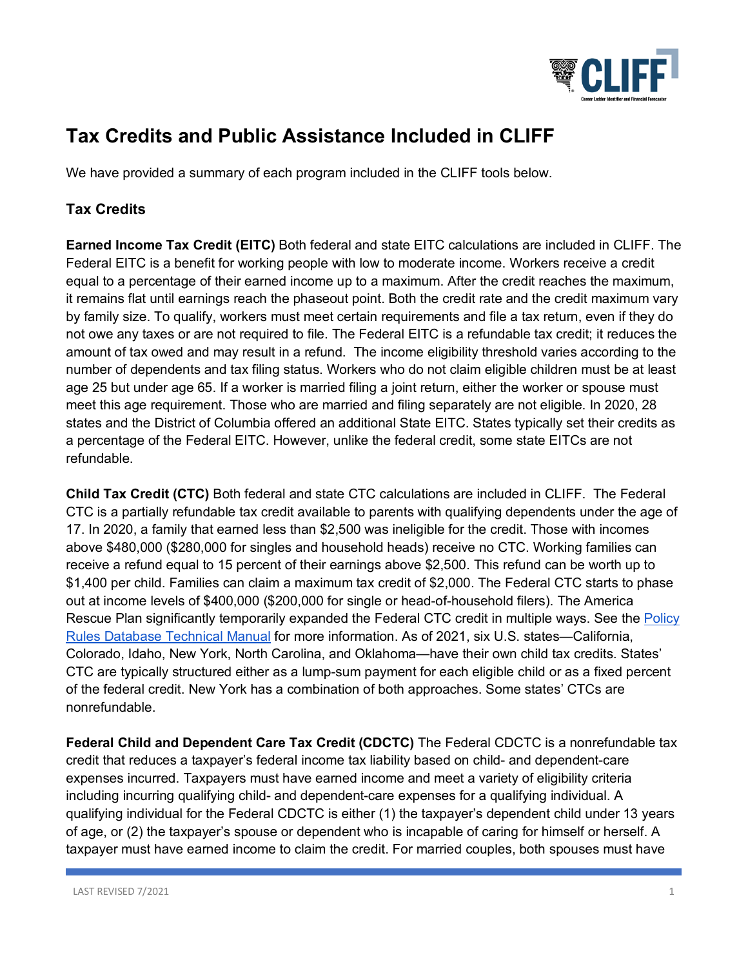

## **Tax Credits and Public Assistance Included in CLIFF**

We have provided a summary of each program included in the CLIFF tools below.

## **Tax Credits**

**Earned Income Tax Credit (EITC)** Both federal and state EITC calculations are included in CLIFF. The Federal EITC is a benefit for working people with low to moderate income. Workers receive a credit equal to a percentage of their earned income up to a maximum. After the credit reaches the maximum, it remains flat until earnings reach the phaseout point. Both the credit rate and the credit maximum vary by family size. To qualify, workers must meet certain requirements and file a tax return, even if they do not owe any taxes or are not required to file. The Federal EITC is a refundable tax credit; it reduces the amount of tax owed and may result in a refund. The income eligibility threshold varies according to the number of dependents and tax filing status. Workers who do not claim eligible children must be at least age 25 but under age 65. If a worker is married filing a joint return, either the worker or spouse must meet this age requirement. Those who are married and filing separately are not eligible. In 2020, 28 states and the District of Columbia offered an additional State EITC. States typically set their credits as a percentage of the Federal EITC. However, unlike the federal credit, some state EITCs are not refundable.

**Child Tax Credit (CTC)** Both federal and state CTC calculations are included in CLIFF. The Federal CTC is a partially refundable tax credit available to parents with qualifying dependents under the age of 17. In 2020, a family that earned less than \$2,500 was ineligible for the credit. Those with incomes above \$480,000 (\$280,000 for singles and household heads) receive no CTC. Working families can receive a refund equal to 15 percent of their earnings above \$2,500. This refund can be worth up to \$1,400 per child. Families can claim a maximum tax credit of \$2,000. The Federal CTC starts to phase out at income levels of \$400,000 (\$200,000 for single or head-of-household filers). The America Rescue Plan significantly temporarily expanded the Federal CTC credit in multiple ways. See the Policy Rules Database Technical Manual for more information. As of 2021, six U.S. states—California, Colorado, Idaho, New York, North Carolina, and Oklahoma—have their own child tax credits. States' CTC are typically structured either as a lump-sum payment for each eligible child or as a fixed percent of the federal credit. New York has a combination of both approaches. Some states' CTCs are nonrefundable.

**Federal Child and Dependent Care Tax Credit (CDCTC)** The Federal CDCTC is a nonrefundable tax credit that reduces a taxpayer's federal income tax liability based on child- and dependent-care expenses incurred. Taxpayers must have earned income and meet a variety of eligibility criteria including incurring qualifying child- and dependent-care expenses for a qualifying individual. A qualifying individual for the Federal CDCTC is either (1) the taxpayer's dependent child under 13 years of age, or (2) the taxpayer's spouse or dependent who is incapable of caring for himself or herself. A taxpayer must have earned income to claim the credit. For married couples, both spouses must have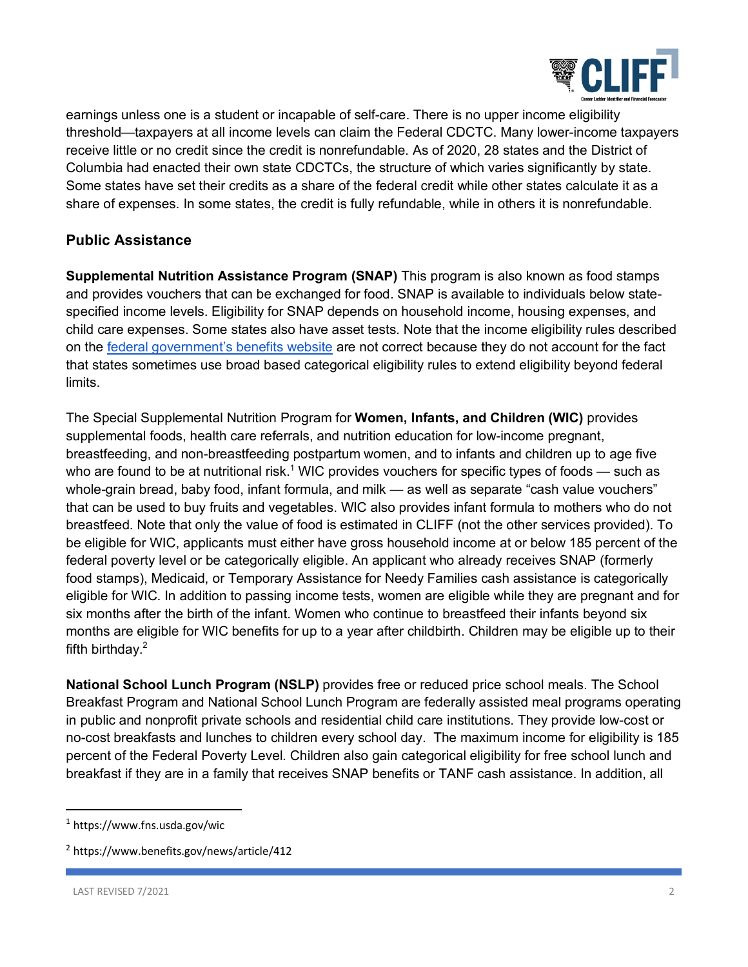

earnings unless one is a student or incapable of self-care. There is no upper income eligibility threshold—taxpayers at all income levels can claim the Federal CDCTC. Many lower-income taxpayers receive little or no credit since the credit is nonrefundable. As of 2020, 28 states and the District of Columbia had enacted their own state CDCTCs, the structure of which varies significantly by state. Some states have set their credits as a share of the federal credit while other states calculate it as a share of expenses. In some states, the credit is fully refundable, while in others it is nonrefundable.

## **Public Assistance**

**Supplemental Nutrition Assistance Program (SNAP)** This program is also known as food stamps and provides vouchers that can be exchanged for food. SNAP is available to individuals below statespecified income levels. Eligibility for SNAP depends on household income, housing expenses, and child care expenses. Some states also have asset tests. Note that the income eligibility rules described on the federal government's benefits website are not correct because they do not account for the fact that states sometimes use broad based categorical eligibility rules to extend eligibility beyond federal limits.

The Special Supplemental Nutrition Program for **Women, Infants, and Children (WIC)** provides supplemental foods, health care referrals, and nutrition education for low-income pregnant, breastfeeding, and non-breastfeeding postpartum women, and to infants and children up to age five who are found to be at nutritional risk.<sup>1</sup> WIC provides vouchers for specific types of foods — such as whole-grain bread, baby food, infant formula, and milk — as well as separate "cash value vouchers" that can be used to buy fruits and vegetables. WIC also provides infant formula to mothers who do not breastfeed. Note that only the value of food is estimated in CLIFF (not the other services provided). To be eligible for WIC, applicants must either have gross household income at or below 185 percent of the federal poverty level or be categorically eligible. An applicant who already receives SNAP (formerly food stamps), Medicaid, or Temporary Assistance for Needy Families cash assistance is categorically eligible for WIC. In addition to passing income tests, women are eligible while they are pregnant and for six months after the birth of the infant. Women who continue to breastfeed their infants beyond six months are eligible for WIC benefits for up to a year after childbirth. Children may be eligible up to their fifth birthday. $2$ 

**National School Lunch Program (NSLP)** provides free or reduced price school meals. The School Breakfast Program and National School Lunch Program are federally assisted meal programs operating in public and nonprofit private schools and residential child care institutions. They provide low-cost or no-cost breakfasts and lunches to children every school day. The maximum income for eligibility is 185 percent of the Federal Poverty Level. Children also gain categorical eligibility for free school lunch and breakfast if they are in a family that receives SNAP benefits or TANF cash assistance. In addition, all

 <sup>1</sup> https://www.fns.usda.gov/wic

<sup>2</sup> https://www.benefits.gov/news/article/412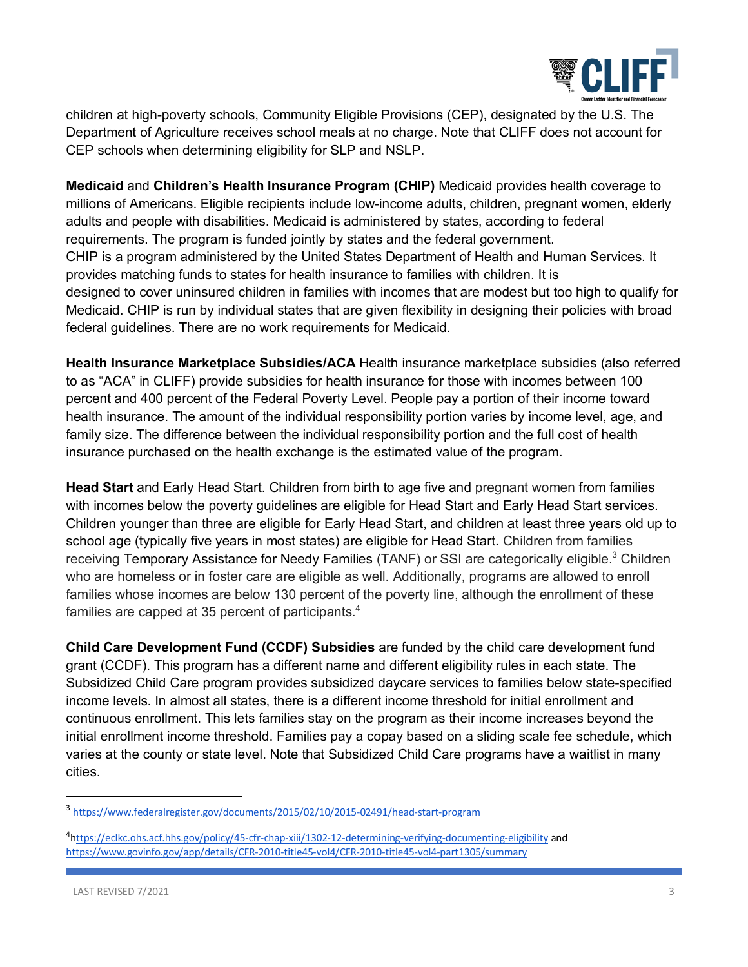

children at high-poverty schools, Community Eligible Provisions (CEP), designated by the U.S. The Department of Agriculture receives school meals at no charge. Note that CLIFF does not account for CEP schools when determining eligibility for SLP and NSLP.

**Medicaid** and **Children's Health Insurance Program (CHIP)** Medicaid provides health coverage to millions of Americans. Eligible recipients include low-income adults, children, pregnant women, elderly adults and people with disabilities. Medicaid is administered by states, according to federal requirements. The program is funded jointly by states and the federal government. CHIP is a program administered by the United States Department of Health and Human Services. It provides matching funds to states for health insurance to families with children. It is designed to cover uninsured children in families with incomes that are modest but too high to qualify for Medicaid. CHIP is run by individual states that are given flexibility in designing their policies with broad federal guidelines. There are no work requirements for Medicaid.

**Health Insurance Marketplace Subsidies/ACA** Health insurance marketplace subsidies (also referred to as "ACA" in CLIFF) provide subsidies for health insurance for those with incomes between 100 percent and 400 percent of the Federal Poverty Level. People pay a portion of their income toward health insurance. The amount of the individual responsibility portion varies by income level, age, and family size. The difference between the individual responsibility portion and the full cost of health insurance purchased on the health exchange is the estimated value of the program.

**Head Start** and Early Head Start. Children from birth to age five and pregnant women from families with incomes below the poverty guidelines are eligible for Head Start and Early Head Start services. Children younger than three are eligible for Early Head Start, and children at least three years old up to school age (typically five years in most states) are eligible for Head Start. Children from families receiving Temporary Assistance for Needy Families (TANF) or SSI are categorically eligible.<sup>3</sup> Children who are homeless or in foster care are eligible as well. Additionally, programs are allowed to enroll families whose incomes are below 130 percent of the poverty line, although the enrollment of these families are capped at 35 percent of participants.<sup>4</sup>

**Child Care Development Fund (CCDF) Subsidies** are funded by the child care development fund grant (CCDF). This program has a different name and different eligibility rules in each state. The Subsidized Child Care program provides subsidized daycare services to families below state-specified income levels. In almost all states, there is a different income threshold for initial enrollment and continuous enrollment. This lets families stay on the program as their income increases beyond the initial enrollment income threshold. Families pay a copay based on a sliding scale fee schedule, which varies at the county or state level. Note that Subsidized Child Care programs have a waitlist in many cities.

 <sup>3</sup> https://www.federalregister.gov/documents/2015/02/10/2015-02491/head-start-program

<sup>&</sup>lt;sup>4</sup>https://eclkc.ohs.acf.hhs.gov/policy/45-cfr-chap-xiii/1302-12-determining-verifying-documenting-eligibility and https://www.govinfo.gov/app/details/CFR-2010-title45-vol4/CFR-2010-title45-vol4-part1305/summary